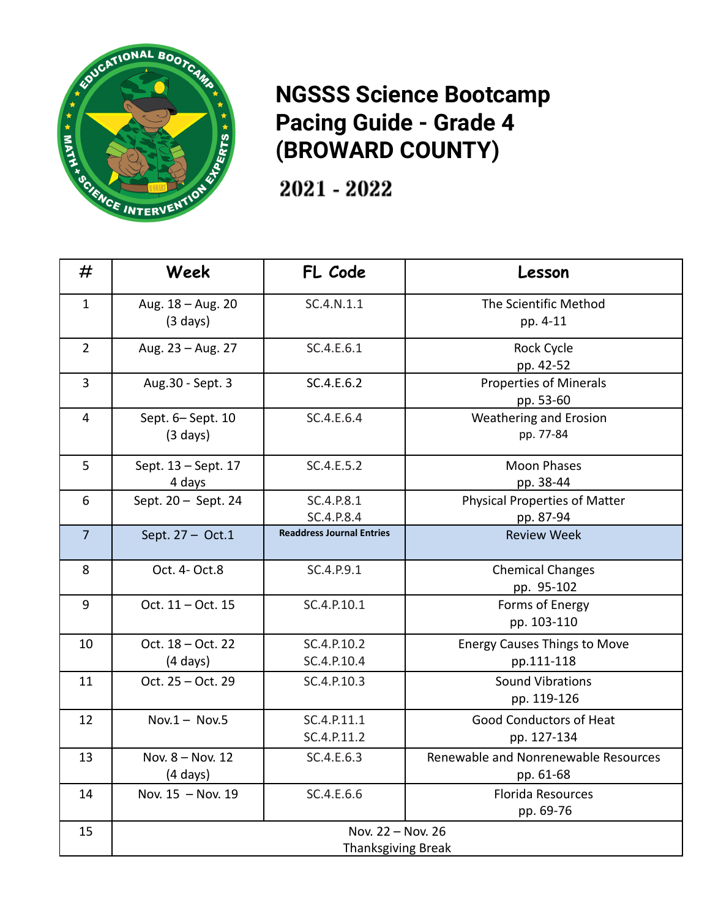

## **NGSSS Science Bootcamp Pacing Guide - Grade 4 (BROWARD COUNTY)**

2021 - 2022

| #              | Week                                    | FL Code                          | Lesson                                            |
|----------------|-----------------------------------------|----------------------------------|---------------------------------------------------|
| $\mathbf{1}$   | Aug. 18 - Aug. 20<br>$(3 \text{ days})$ | SC.4.N.1.1                       | The Scientific Method<br>pp. 4-11                 |
| $\overline{2}$ | Aug. 23 - Aug. 27                       | SC.4.E.6.1                       | Rock Cycle<br>pp. 42-52                           |
| $\overline{3}$ | Aug.30 - Sept. 3                        | SC.4.E.6.2                       | <b>Properties of Minerals</b><br>pp. 53-60        |
| $\overline{4}$ | Sept. 6-Sept. 10<br>$(3 \text{ days})$  | SC.4.E.6.4                       | Weathering and Erosion<br>pp. 77-84               |
| 5              | Sept. 13 - Sept. 17<br>4 days           | SC.4.E.5.2                       | <b>Moon Phases</b><br>pp. 38-44                   |
| 6              | Sept. 20 - Sept. 24                     | SC.4.P.8.1<br>SC.4.P.8.4         | <b>Physical Properties of Matter</b><br>pp. 87-94 |
| $\overline{7}$ | Sept. 27 - Oct.1                        | <b>Readdress Journal Entries</b> | <b>Review Week</b>                                |
| 8              | Oct. 4- Oct.8                           | SC.4.P.9.1                       | <b>Chemical Changes</b><br>pp. 95-102             |
| 9              | Oct. 11 - Oct. 15                       | SC.4.P.10.1                      | Forms of Energy<br>pp. 103-110                    |
| 10             | Oct. 18 - Oct. 22<br>$(4 \text{ days})$ | SC.4.P.10.2<br>SC.4.P.10.4       | <b>Energy Causes Things to Move</b><br>pp.111-118 |
| 11             | Oct. 25 - Oct. 29                       | SC.4.P.10.3                      | <b>Sound Vibrations</b><br>pp. 119-126            |
| 12             | $Nov.1 - Nov.5$                         | SC.4.P.11.1<br>SC.4.P.11.2       | <b>Good Conductors of Heat</b><br>pp. 127-134     |
| 13             | Nov. 8 - Nov. 12<br>$(4 \text{ days})$  | SC.4.E.6.3                       | Renewable and Nonrenewable Resources<br>pp. 61-68 |
| 14             | Nov. 15 - Nov. 19                       | SC.4.E.6.6                       | <b>Florida Resources</b><br>pp. 69-76             |
| 15             | Nov. 22 - Nov. 26<br>Thanksgiving Break |                                  |                                                   |